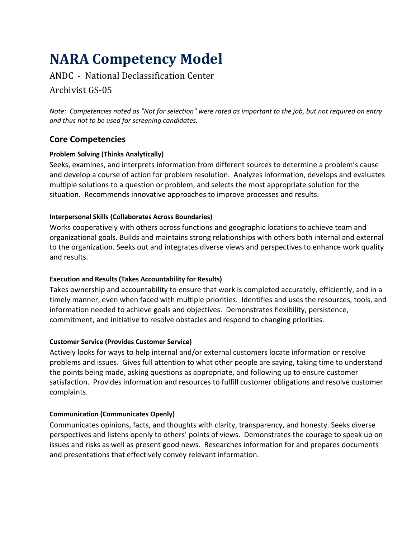# **NARA Competency Model**

# ANDC - National Declassification Center

## Archivist GS-05

*Note: Competencies noted as "Not for selection" were rated as important to the job, but not required on entry and thus not to be used for screening candidates.*

## **Core Competencies**

## **Problem Solving (Thinks Analytically)**

Seeks, examines, and interprets information from different sources to determine a problem's cause and develop a course of action for problem resolution. Analyzes information, develops and evaluates multiple solutions to a question or problem, and selects the most appropriate solution for the situation. Recommends innovative approaches to improve processes and results.

## **Interpersonal Skills (Collaborates Across Boundaries)**

Works cooperatively with others across functions and geographic locations to achieve team and organizational goals. Builds and maintains strong relationships with others both internal and external to the organization. Seeks out and integrates diverse views and perspectives to enhance work quality and results.

## **Execution and Results (Takes Accountability for Results)**

Takes ownership and accountability to ensure that work is completed accurately, efficiently, and in a timely manner, even when faced with multiple priorities. Identifies and uses the resources, tools, and information needed to achieve goals and objectives. Demonstrates flexibility, persistence, commitment, and initiative to resolve obstacles and respond to changing priorities.

## **Customer Service (Provides Customer Service)**

Actively looks for ways to help internal and/or external customers locate information or resolve problems and issues. Gives full attention to what other people are saying, taking time to understand the points being made, asking questions as appropriate, and following up to ensure customer satisfaction. Provides information and resources to fulfill customer obligations and resolve customer complaints.

## **Communication (Communicates Openly)**

Communicates opinions, facts, and thoughts with clarity, transparency, and honesty. Seeks diverse perspectives and listens openly to others' points of views. Demonstrates the courage to speak up on issues and risks as well as present good news. Researches information for and prepares documents and presentations that effectively convey relevant information.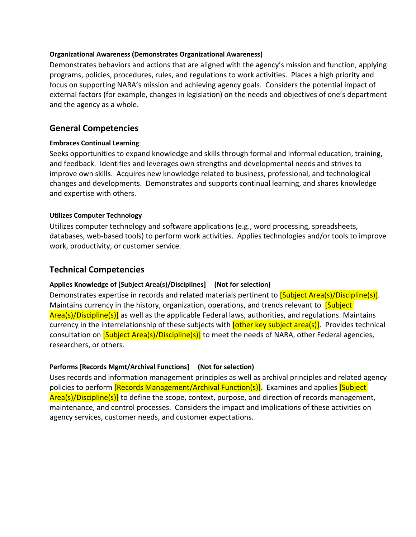#### **Organizational Awareness (Demonstrates Organizational Awareness)**

Demonstrates behaviors and actions that are aligned with the agency's mission and function, applying programs, policies, procedures, rules, and regulations to work activities. Places a high priority and focus on supporting NARA's mission and achieving agency goals. Considers the potential impact of external factors (for example, changes in legislation) on the needs and objectives of one's department and the agency as a whole.

## **General Competencies**

### **Embraces Continual Learning**

Seeks opportunities to expand knowledge and skills through formal and informal education, training, and feedback. Identifies and leverages own strengths and developmental needs and strives to improve own skills. Acquires new knowledge related to business, professional, and technological changes and developments. Demonstrates and supports continual learning, and shares knowledge and expertise with others.

### **Utilizes Computer Technology**

Utilizes computer technology and software applications (e.g., word processing, spreadsheets, databases, web-based tools) to perform work activities. Applies technologies and/or tools to improve work, productivity, or customer service.

## **Technical Competencies**

### **Applies Knowledge of [Subject Area(s)/Disciplines] (Not for selection)**

Demonstrates expertise in records and related materials pertinent to **[Subject Area(s)/Discipline(s)]**. Maintains currency in the history, organization, operations, and trends relevant to **[Subject**] Area(s)/Discipline(s)] as well as the applicable Federal laws, authorities, and regulations. Maintains currency in the interrelationship of these subjects with **[other key subject area(s)**]. Provides technical consultation on **[Subject Area(s)/Discipline(s)]** to meet the needs of NARA, other Federal agencies, researchers, or others.

### **Performs [Records Mgmt/Archival Functions] (Not for selection)**

Uses records and information management principles as well as archival principles and related agency policies to perform **[Records Management/Archival Function(s)]**. Examines and applies **[Subject**] Area(s)/Discipline(s)] to define the scope, context, purpose, and direction of records management, maintenance, and control processes.Considers the impact and implications of these activities on agency services, customer needs, and customer expectations.